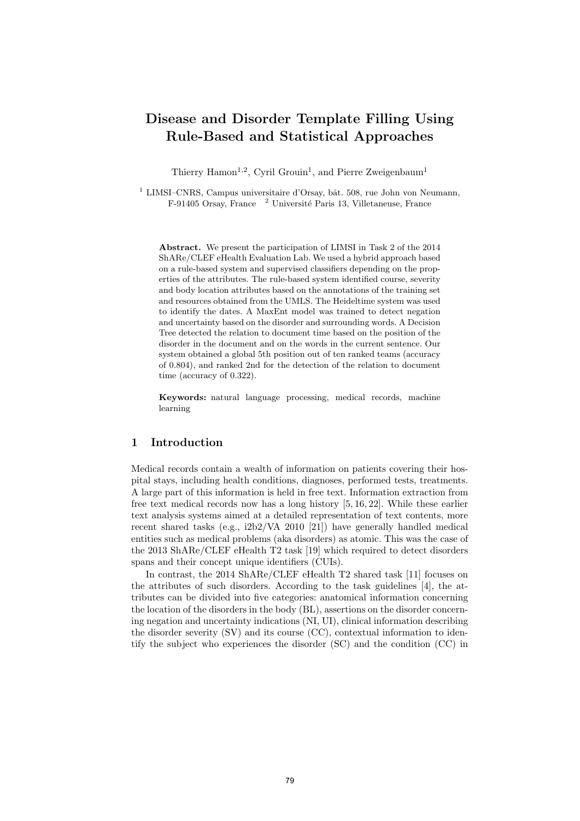# Disease and Disorder Template Filling Using Rule-Based and Statistical Approaches

Thierry Hamon<sup>1,2</sup>, Cyril Grouin<sup>1</sup>, and Pierre Zweigenbaum<sup>1</sup>

 $1$  LIMSI–CNRS, Campus universitaire d'Orsay, bât. 508, rue John von Neumann, F-91405 Orsay, France <sup>2</sup> Université Paris 13, Villetaneuse, France

Abstract. We present the participation of LIMSI in Task 2 of the 2014 ShARe/CLEF eHealth Evaluation Lab. We used a hybrid approach based on a rule-based system and supervised classifiers depending on the properties of the attributes. The rule-based system identified course, severity and body location attributes based on the annotations of the training set and resources obtained from the UMLS. The Heideltime system was used to identify the dates. A MaxEnt model was trained to detect negation and uncertainty based on the disorder and surrounding words. A Decision Tree detected the relation to document time based on the position of the disorder in the document and on the words in the current sentence. Our system obtained a global 5th position out of ten ranked teams (accuracy of 0.804), and ranked 2nd for the detection of the relation to document time (accuracy of 0.322).

Keywords: natural language processing, medical records, machine learning

# 1 Introduction

Medical records contain a wealth of information on patients covering their hospital stays, including health conditions, diagnoses, performed tests, treatments. A large part of this information is held in free text. Information extraction from free text medical records now has a long history [5, 16, 22]. While these earlier text analysis systems aimed at a detailed representation of text contents, more recent shared tasks (e.g., i2b2/VA 2010 [21]) have generally handled medical entities such as medical problems (aka disorders) as atomic. This was the case of the 2013 ShARe/CLEF eHealth T2 task [19] which required to detect disorders spans and their concept unique identifiers (CUIs).

In contrast, the 2014 ShARe/CLEF eHealth T2 shared task [11] focuses on the attributes of such disorders. According to the task guidelines [4], the attributes can be divided into five categories: anatomical information concerning the location of the disorders in the body (BL), assertions on the disorder concerning negation and uncertainty indications (NI, UI), clinical information describing the disorder severity (SV) and its course (CC), contextual information to identify the subject who experiences the disorder (SC) and the condition (CC) in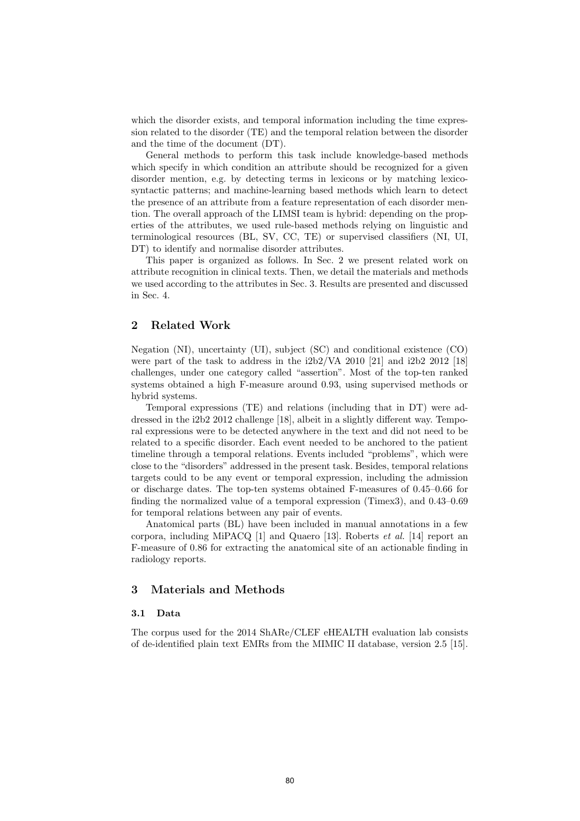which the disorder exists, and temporal information including the time expression related to the disorder (TE) and the temporal relation between the disorder and the time of the document (DT).

General methods to perform this task include knowledge-based methods which specify in which condition an attribute should be recognized for a given disorder mention, e.g. by detecting terms in lexicons or by matching lexicosyntactic patterns; and machine-learning based methods which learn to detect the presence of an attribute from a feature representation of each disorder mention. The overall approach of the LIMSI team is hybrid: depending on the properties of the attributes, we used rule-based methods relying on linguistic and terminological resources (BL, SV, CC, TE) or supervised classifiers (NI, UI, DT) to identify and normalise disorder attributes.

This paper is organized as follows. In Sec. 2 we present related work on attribute recognition in clinical texts. Then, we detail the materials and methods we used according to the attributes in Sec. 3. Results are presented and discussed in Sec. 4.

# 2 Related Work

Negation (NI), uncertainty (UI), subject (SC) and conditional existence (CO) were part of the task to address in the i2b2/VA 2010 [21] and i2b2 2012 [18] challenges, under one category called "assertion". Most of the top-ten ranked systems obtained a high F-measure around 0.93, using supervised methods or hybrid systems.

Temporal expressions (TE) and relations (including that in DT) were addressed in the i2b2 2012 challenge [18], albeit in a slightly different way. Temporal expressions were to be detected anywhere in the text and did not need to be related to a specific disorder. Each event needed to be anchored to the patient timeline through a temporal relations. Events included "problems", which were close to the "disorders" addressed in the present task. Besides, temporal relations targets could to be any event or temporal expression, including the admission or discharge dates. The top-ten systems obtained F-measures of 0.45–0.66 for finding the normalized value of a temporal expression (Timex3), and 0.43–0.69 for temporal relations between any pair of events.

Anatomical parts (BL) have been included in manual annotations in a few corpora, including MiPACQ  $[1]$  and Quaero  $[13]$ . Roberts *et al.*  $[14]$  report an F-measure of 0.86 for extracting the anatomical site of an actionable finding in radiology reports.

## 3 Materials and Methods

## 3.1 Data

The corpus used for the 2014 ShARe/CLEF eHEALTH evaluation lab consists of de-identified plain text EMRs from the MIMIC II database, version 2.5 [15].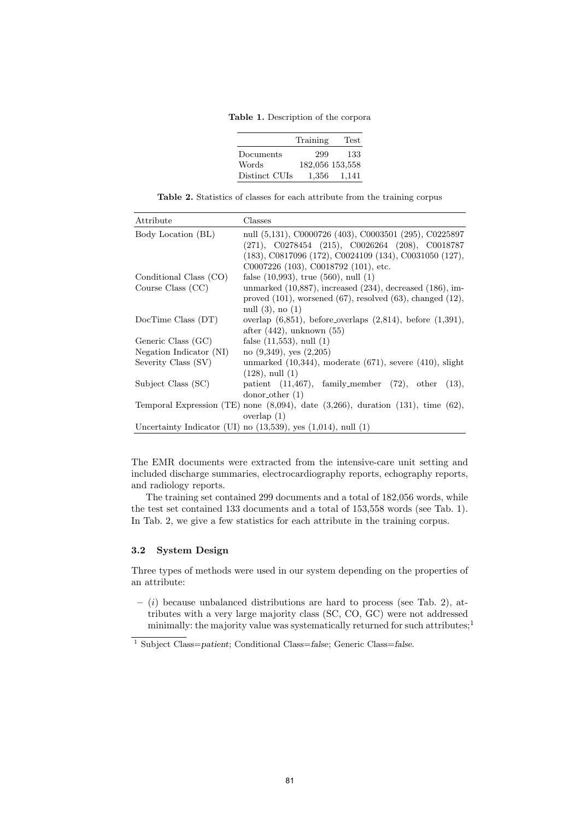Table 1. Description of the corpora

|               | Training | Test            |
|---------------|----------|-----------------|
| Documents     | 299      | 133             |
| Words         |          | 182,056 153,558 |
| Distinct CUIs | 1,356    | 1,141           |

Table 2. Statistics of classes for each attribute from the training corpus

| Attribute               | Classes                                                                                     |
|-------------------------|---------------------------------------------------------------------------------------------|
| Body Location (BL)      | null (5,131), C0000726 (403), C0003501 (295), C0225897                                      |
|                         | $(271)$ , C0278454 $(215)$ , C0026264 $(208)$ , C0018787                                    |
|                         | (183), C0817096 (172), C0024109 (134), C0031050 (127),                                      |
|                         | C0007226 (103), C0018792 (101), etc.                                                        |
| Conditional Class (CO)  | false $(10,993)$ , true $(560)$ , null $(1)$                                                |
| Course Class $(CC)$     | unmarked (10,887), increased (234), decreased (186), im-                                    |
|                         | proved $(101)$ , worsened $(67)$ , resolved $(63)$ , changed $(12)$ ,                       |
|                         | null $(3)$ , no $(1)$                                                                       |
| DocTime Class (DT)      | overlap $(6,851)$ , before overlaps $(2,814)$ , before $(1,391)$ ,                          |
|                         | after $(442)$ , unknown $(55)$                                                              |
| Generic Class (GC)      | false $(11,553)$ , null $(1)$                                                               |
| Negation Indicator (NI) | no $(9,349)$ , yes $(2,205)$                                                                |
| Severity Class (SV)     | unmarked $(10,344)$ , moderate $(671)$ , severe $(410)$ , slight                            |
|                         | $(128)$ , null $(1)$                                                                        |
| Subject Class (SC)      | patient $(11,467)$ , family_member $(72)$ , other $(13)$ ,                                  |
|                         | donor <sub>other</sub> (1)                                                                  |
|                         | Temporal Expression (TE) none $(8,094)$ , date $(3,266)$ , duration $(131)$ , time $(62)$ , |
|                         | overlap $(1)$                                                                               |
|                         | Uncertainty Indicator (UI) no $(13,539)$ , yes $(1,014)$ , null $(1)$                       |

The EMR documents were extracted from the intensive-care unit setting and included discharge summaries, electrocardiography reports, echography reports, and radiology reports.

The training set contained 299 documents and a total of 182,056 words, while the test set contained 133 documents and a total of 153,558 words (see Tab. 1). In Tab. 2, we give a few statistics for each attribute in the training corpus.

## 3.2 System Design

Three types of methods were used in our system depending on the properties of an attribute:

 $-$  (i) because unbalanced distributions are hard to process (see Tab. 2), attributes with a very large majority class (SC, CO, GC) were not addressed minimally: the majority value was systematically returned for such attributes;<sup>1</sup>

 $^{\rm 1}$  Subject Class=patient; Conditional Class=false; Generic Class=false.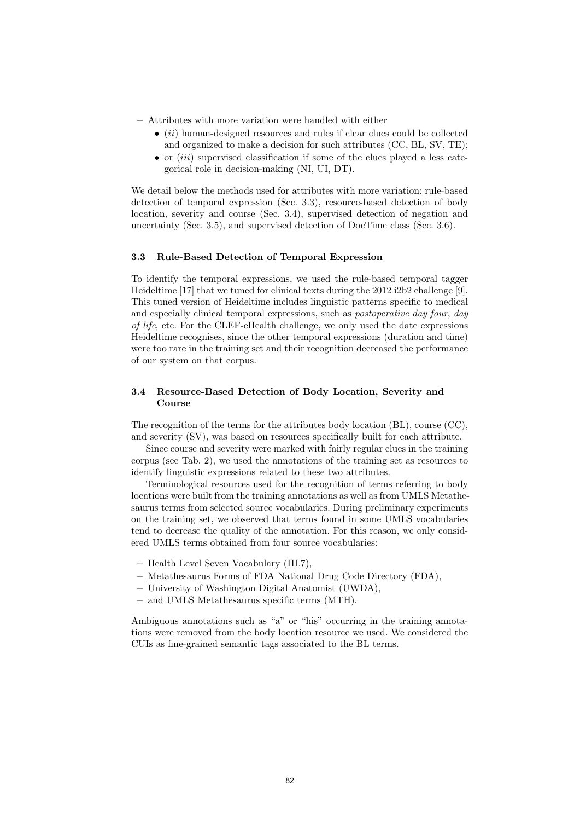- Attributes with more variation were handled with either
	- $\bullet$  (ii) human-designed resources and rules if clear clues could be collected and organized to make a decision for such attributes (CC, BL, SV, TE);
	- $\bullet$  or *(iii)* supervised classification if some of the clues played a less categorical role in decision-making (NI, UI, DT).

We detail below the methods used for attributes with more variation: rule-based detection of temporal expression (Sec. 3.3), resource-based detection of body location, severity and course (Sec. 3.4), supervised detection of negation and uncertainty (Sec. 3.5), and supervised detection of DocTime class (Sec. 3.6).

## 3.3 Rule-Based Detection of Temporal Expression

To identify the temporal expressions, we used the rule-based temporal tagger Heideltime [17] that we tuned for clinical texts during the 2012 i2b2 challenge [9]. This tuned version of Heideltime includes linguistic patterns specific to medical and especially clinical temporal expressions, such as *postoperative day four*, *day* of life, etc. For the CLEF-eHealth challenge, we only used the date expressions Heideltime recognises, since the other temporal expressions (duration and time) were too rare in the training set and their recognition decreased the performance of our system on that corpus.

## 3.4 Resource-Based Detection of Body Location, Severity and Course

The recognition of the terms for the attributes body location (BL), course (CC), and severity (SV), was based on resources specifically built for each attribute.

Since course and severity were marked with fairly regular clues in the training corpus (see Tab. 2), we used the annotations of the training set as resources to identify linguistic expressions related to these two attributes.

Terminological resources used for the recognition of terms referring to body locations were built from the training annotations as well as from UMLS Metathesaurus terms from selected source vocabularies. During preliminary experiments on the training set, we observed that terms found in some UMLS vocabularies tend to decrease the quality of the annotation. For this reason, we only considered UMLS terms obtained from four source vocabularies:

- Health Level Seven Vocabulary (HL7),
- Metathesaurus Forms of FDA National Drug Code Directory (FDA),
- University of Washington Digital Anatomist (UWDA),
- and UMLS Metathesaurus specific terms (MTH).

Ambiguous annotations such as "a" or "his" occurring in the training annotations were removed from the body location resource we used. We considered the CUIs as fine-grained semantic tags associated to the BL terms.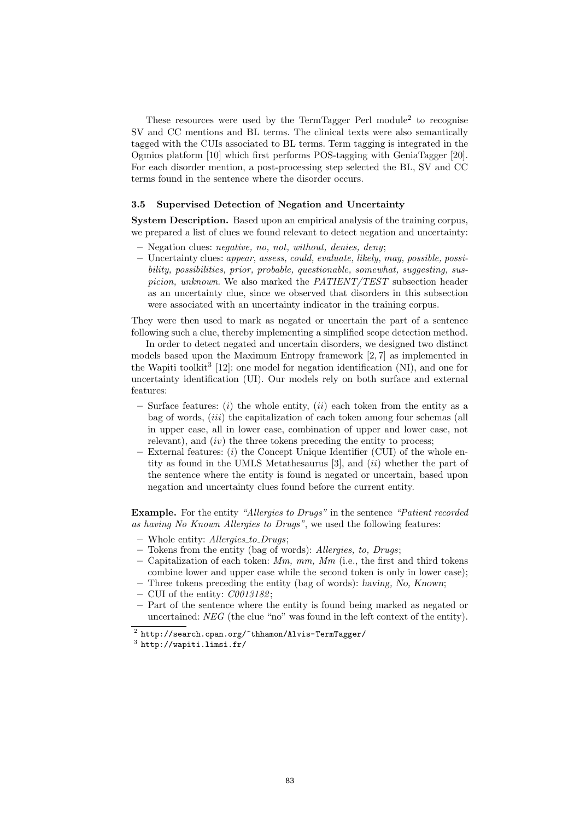These resources were used by the TermTagger Perl module<sup>2</sup> to recognise SV and CC mentions and BL terms. The clinical texts were also semantically tagged with the CUIs associated to BL terms. Term tagging is integrated in the Ogmios platform [10] which first performs POS-tagging with GeniaTagger [20]. For each disorder mention, a post-processing step selected the BL, SV and CC terms found in the sentence where the disorder occurs.

#### 3.5 Supervised Detection of Negation and Uncertainty

System Description. Based upon an empirical analysis of the training corpus, we prepared a list of clues we found relevant to detect negation and uncertainty:

- Negation clues: negative, no, not, without, denies, deny;
- Uncertainty clues: appear, assess, could, evaluate, likely, may, possible, possibility, possibilities, prior, probable, questionable, somewhat, suggesting, suspicion, unknown. We also marked the PATIENT/TEST subsection header as an uncertainty clue, since we observed that disorders in this subsection were associated with an uncertainty indicator in the training corpus.

They were then used to mark as negated or uncertain the part of a sentence following such a clue, thereby implementing a simplified scope detection method.

In order to detect negated and uncertain disorders, we designed two distinct models based upon the Maximum Entropy framework [2, 7] as implemented in the Wapiti toolkit<sup>3</sup> [12]: one model for negation identification (NI), and one for uncertainty identification (UI). Our models rely on both surface and external features:

- Surface features:  $(i)$  the whole entity,  $(ii)$  each token from the entity as a bag of words, *(iii)* the capitalization of each token among four schemas *(all*) in upper case, all in lower case, combination of upper and lower case, not relevant), and  $(iv)$  the three tokens preceding the entity to process:
- $-$  External features:  $(i)$  the Concept Unique Identifier (CUI) of the whole entity as found in the UMLS Metathesaurus  $[3]$ , and  $(ii)$  whether the part of the sentence where the entity is found is negated or uncertain, based upon negation and uncertainty clues found before the current entity.

Example. For the entity "Allergies to Drugs" in the sentence "Patient recorded as having No Known Allergies to Drugs", we used the following features:

- Whole entity: Allergies to Drugs;
- Tokens from the entity (bag of words): Allergies, to, Drugs;
- Capitalization of each token:  $Mm$ ,  $mm$ ,  $Mm$  (i.e., the first and third tokens combine lower and upper case while the second token is only in lower case);
- Three tokens preceding the entity (bag of words): having, No, Known;
- CUI of the entity:  $C0013182$ ;
- Part of the sentence where the entity is found being marked as negated or uncertained: NEG (the clue "no" was found in the left context of the entity).

 $^2$  http://search.cpan.org/~thhamon/Alvis-TermTagger/

 $^3$  http://wapiti.limsi.fr/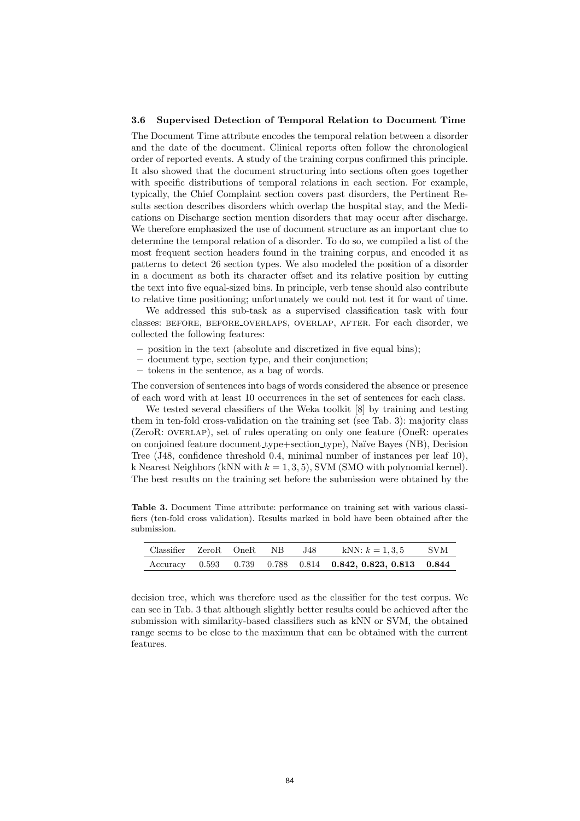#### 3.6 Supervised Detection of Temporal Relation to Document Time

The Document Time attribute encodes the temporal relation between a disorder and the date of the document. Clinical reports often follow the chronological order of reported events. A study of the training corpus confirmed this principle. It also showed that the document structuring into sections often goes together with specific distributions of temporal relations in each section. For example, typically, the Chief Complaint section covers past disorders, the Pertinent Results section describes disorders which overlap the hospital stay, and the Medications on Discharge section mention disorders that may occur after discharge. We therefore emphasized the use of document structure as an important clue to determine the temporal relation of a disorder. To do so, we compiled a list of the most frequent section headers found in the training corpus, and encoded it as patterns to detect 26 section types. We also modeled the position of a disorder in a document as both its character offset and its relative position by cutting the text into five equal-sized bins. In principle, verb tense should also contribute to relative time positioning; unfortunately we could not test it for want of time.

We addressed this sub-task as a supervised classification task with four classes: before, before overlaps, overlap, after. For each disorder, we collected the following features:

- position in the text (absolute and discretized in five equal bins);
- document type, section type, and their conjunction;
- tokens in the sentence, as a bag of words.

The conversion of sentences into bags of words considered the absence or presence of each word with at least 10 occurrences in the set of sentences for each class.

We tested several classifiers of the Weka toolkit [8] by training and testing them in ten-fold cross-validation on the training set (see Tab. 3): majority class (ZeroR: overlap), set of rules operating on only one feature (OneR: operates on conjoined feature document type+section type), Na¨ıve Bayes (NB), Decision Tree (J48, confidence threshold 0.4, minimal number of instances per leaf 10), k Nearest Neighbors (kNN with  $k = 1, 3, 5$ ), SVM (SMO with polynomial kernel). The best results on the training set before the submission were obtained by the

Table 3. Document Time attribute: performance on training set with various classifiers (ten-fold cross validation). Results marked in bold have been obtained after the submission.

| Classifier ZeroR OneR NB J48 |  |  | kNN: $k = 1, 3, 5$                                                | – SVM |
|------------------------------|--|--|-------------------------------------------------------------------|-------|
|                              |  |  | Accuracy 0.593 0.739 0.788 0.814 <b>0.842, 0.823, 0.813 0.844</b> |       |

decision tree, which was therefore used as the classifier for the test corpus. We can see in Tab. 3 that although slightly better results could be achieved after the submission with similarity-based classifiers such as kNN or SVM, the obtained range seems to be close to the maximum that can be obtained with the current features.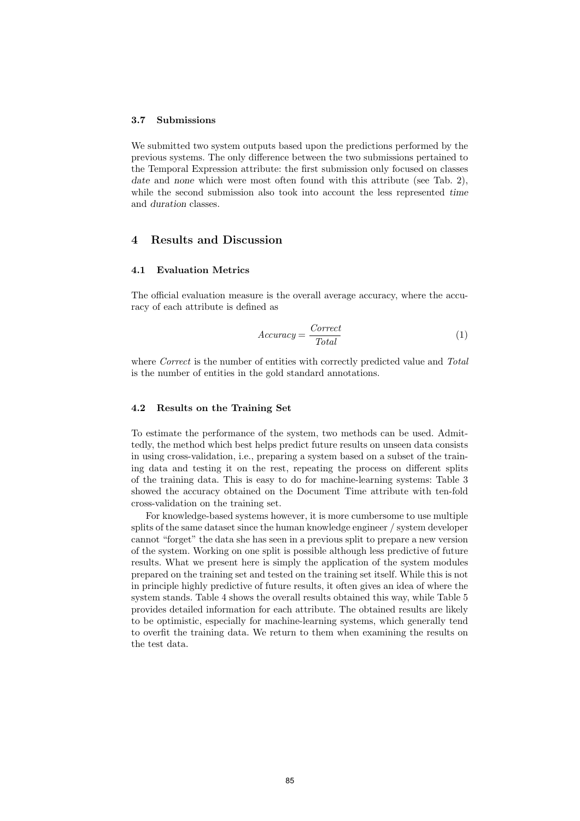#### 3.7 Submissions

We submitted two system outputs based upon the predictions performed by the previous systems. The only difference between the two submissions pertained to the Temporal Expression attribute: the first submission only focused on classes date and none which were most often found with this attribute (see Tab. 2). while the second submission also took into account the less represented time and duration classes.

# 4 Results and Discussion

## 4.1 Evaluation Metrics

The official evaluation measure is the overall average accuracy, where the accuracy of each attribute is defined as

$$
Accuracy = \frac{Correct}{Total}
$$
 (1)

where *Correct* is the number of entities with correctly predicted value and Total is the number of entities in the gold standard annotations.

## 4.2 Results on the Training Set

To estimate the performance of the system, two methods can be used. Admittedly, the method which best helps predict future results on unseen data consists in using cross-validation, i.e., preparing a system based on a subset of the training data and testing it on the rest, repeating the process on different splits of the training data. This is easy to do for machine-learning systems: Table 3 showed the accuracy obtained on the Document Time attribute with ten-fold cross-validation on the training set.

For knowledge-based systems however, it is more cumbersome to use multiple splits of the same dataset since the human knowledge engineer / system developer cannot "forget" the data she has seen in a previous split to prepare a new version of the system. Working on one split is possible although less predictive of future results. What we present here is simply the application of the system modules prepared on the training set and tested on the training set itself. While this is not in principle highly predictive of future results, it often gives an idea of where the system stands. Table 4 shows the overall results obtained this way, while Table 5 provides detailed information for each attribute. The obtained results are likely to be optimistic, especially for machine-learning systems, which generally tend to overfit the training data. We return to them when examining the results on the test data.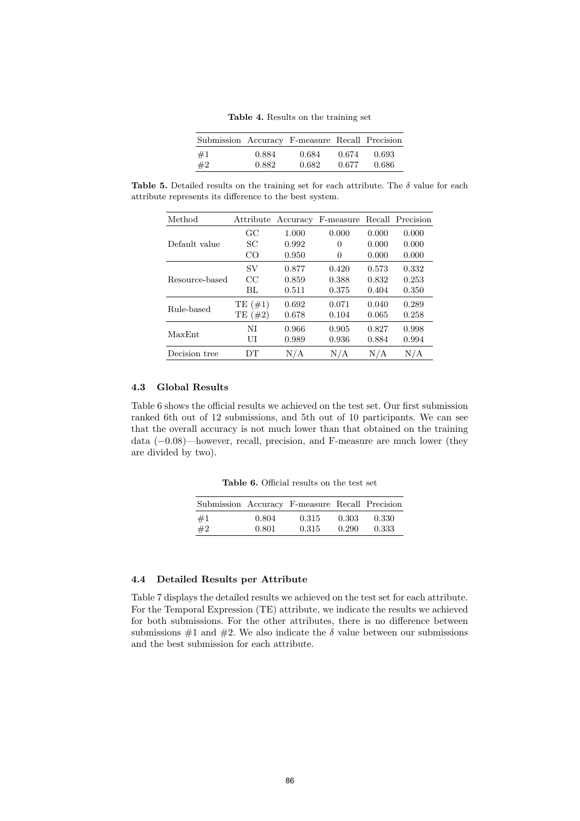Table 4. Results on the training set

| Submission Accuracy F-measure Recall Precision |       |       |       |       |
|------------------------------------------------|-------|-------|-------|-------|
| #1                                             | 0.884 | 0.684 | 0.674 | 0.693 |
| #2                                             | 0.882 | 0.682 | 0.677 | 0.686 |

Table 5. Detailed results on the training set for each attribute. The  $\delta$  value for each attribute represents its difference to the best system.

| Method         | Attribute  | Accuracy | F-measure |       | Recall Precision |
|----------------|------------|----------|-----------|-------|------------------|
|                | GC         | 1.000    | 0.000     | 0.000 | 0.000            |
| Default value  | SС         | 0.992    | 0         | 0.000 | 0.000            |
|                | CO         | 0.950    | 0         | 0.000 | 0.000            |
| Resource-based | SV         | 0.877    | 0.420     | 0.573 | 0.332            |
|                | CC         | 0.859    | 0.388     | 0.832 | 0.253            |
|                | BL         | 0.511    | 0.375     | 0.404 | 0.350            |
| Rule-based     | TE(#1)     | 0.692    | 0.071     | 0.040 | 0.289            |
|                | TE $(\#2)$ | 0.678    | 0.104     | 0.065 | 0.258            |
| MaxEnt         | NI         | 0.966    | 0.905     | 0.827 | 0.998            |
|                | UI         | 0.989    | 0.936     | 0.884 | 0.994            |
| Decision tree  | DТ         | N/A      | N/A       | N/A   | N/A              |

## 4.3 Global Results

Table 6 shows the official results we achieved on the test set. Our first submission ranked 6th out of 12 submissions, and 5th out of 10 participants. We can see that the overall accuracy is not much lower than that obtained on the training data (−0.08)—however, recall, precision, and F-measure are much lower (they are divided by two).

Table 6. Official results on the test set

| Submission Accuracy F-measure Recall Precision |       |       |       |       |
|------------------------------------------------|-------|-------|-------|-------|
| #1                                             | 0.804 | 0.315 | 0.303 | 0.330 |
| #2                                             | 0.801 | 0.315 | 0.290 | 0.333 |

#### 4.4 Detailed Results per Attribute

Table 7 displays the detailed results we achieved on the test set for each attribute. For the Temporal Expression (TE) attribute, we indicate the results we achieved for both submissions. For the other attributes, there is no difference between submissions  $\#1$  and  $\#2$ . We also indicate the  $\delta$  value between our submissions and the best submission for each attribute.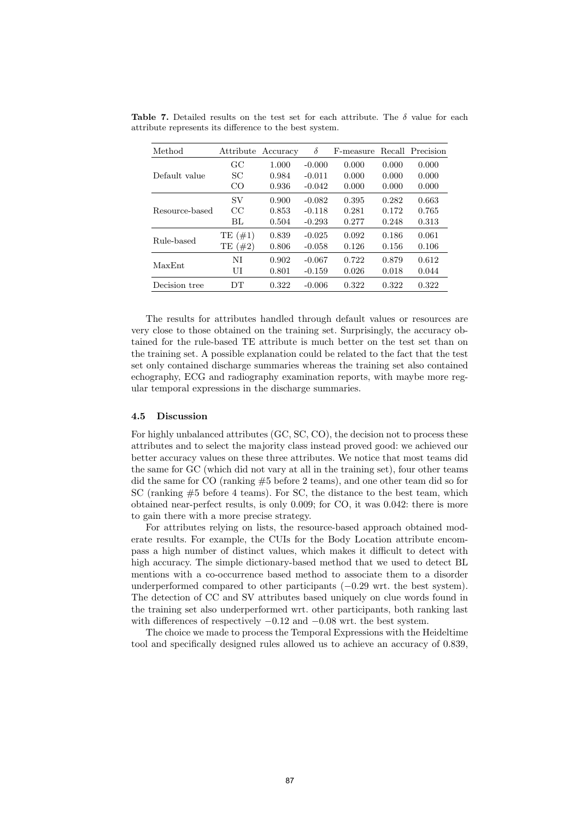| Method         | Attribute     | Accuracy | δ        | F-measure |       | Recall Precision |
|----------------|---------------|----------|----------|-----------|-------|------------------|
|                | $_{\rm GC}$   | 1.000    | $-0.000$ | 0.000     | 0.000 | 0.000            |
| Default value  | SС            | 0.984    | $-0.011$ | 0.000     | 0.000 | 0.000            |
|                | CO.           | 0.936    | $-0.042$ | 0.000     | 0.000 | 0.000            |
| Resource-based | SV            | 0.900    | $-0.082$ | 0.395     | 0.282 | 0.663            |
|                | $_{\rm CC}$   | 0.853    | $-0.118$ | 0.281     | 0.172 | 0.765            |
|                | BL            | 0.504    | $-0.293$ | 0.277     | 0.248 | 0.313            |
| Rule-based     | TE(#1)        | 0.839    | $-0.025$ | 0.092     | 0.186 | 0.061            |
|                | $(\#2)$<br>TЕ | 0.806    | $-0.058$ | 0.126     | 0.156 | 0.106            |
| MaxEnt         | NI            | 0.902    | $-0.067$ | 0.722     | 0.879 | 0.612            |
|                | UI            | 0.801    | $-0.159$ | 0.026     | 0.018 | 0.044            |
| Decision tree  | DТ            | 0.322    | $-0.006$ | 0.322     | 0.322 | 0.322            |

Table 7. Detailed results on the test set for each attribute. The  $\delta$  value for each attribute represents its difference to the best system.

The results for attributes handled through default values or resources are very close to those obtained on the training set. Surprisingly, the accuracy obtained for the rule-based TE attribute is much better on the test set than on the training set. A possible explanation could be related to the fact that the test set only contained discharge summaries whereas the training set also contained echography, ECG and radiography examination reports, with maybe more regular temporal expressions in the discharge summaries.

## 4.5 Discussion

For highly unbalanced attributes (GC, SC, CO), the decision not to process these attributes and to select the majority class instead proved good: we achieved our better accuracy values on these three attributes. We notice that most teams did the same for GC (which did not vary at all in the training set), four other teams did the same for CO (ranking #5 before 2 teams), and one other team did so for SC (ranking #5 before 4 teams). For SC, the distance to the best team, which obtained near-perfect results, is only 0.009; for CO, it was 0.042: there is more to gain there with a more precise strategy.

For attributes relying on lists, the resource-based approach obtained moderate results. For example, the CUIs for the Body Location attribute encompass a high number of distinct values, which makes it difficult to detect with high accuracy. The simple dictionary-based method that we used to detect BL mentions with a co-occurrence based method to associate them to a disorder underperformed compared to other participants (−0.29 wrt. the best system). The detection of CC and SV attributes based uniquely on clue words found in the training set also underperformed wrt. other participants, both ranking last with differences of respectively  $-0.12$  and  $-0.08$  wrt. the best system.

The choice we made to process the Temporal Expressions with the Heideltime tool and specifically designed rules allowed us to achieve an accuracy of 0.839,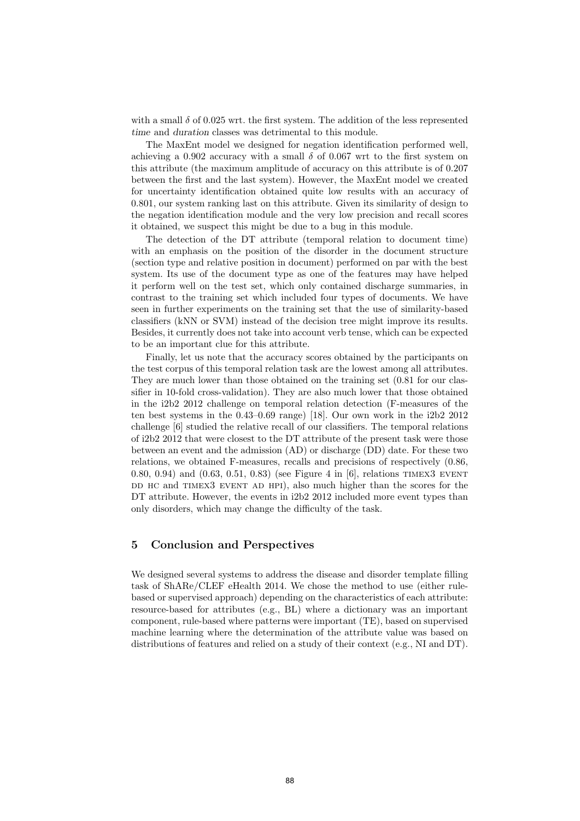with a small  $\delta$  of 0.025 wrt. the first system. The addition of the less represented time and duration classes was detrimental to this module.

The MaxEnt model we designed for negation identification performed well, achieving a 0.902 accuracy with a small  $\delta$  of 0.067 wrt to the first system on this attribute (the maximum amplitude of accuracy on this attribute is of 0.207 between the first and the last system). However, the MaxEnt model we created for uncertainty identification obtained quite low results with an accuracy of 0.801, our system ranking last on this attribute. Given its similarity of design to the negation identification module and the very low precision and recall scores it obtained, we suspect this might be due to a bug in this module.

The detection of the DT attribute (temporal relation to document time) with an emphasis on the position of the disorder in the document structure (section type and relative position in document) performed on par with the best system. Its use of the document type as one of the features may have helped it perform well on the test set, which only contained discharge summaries, in contrast to the training set which included four types of documents. We have seen in further experiments on the training set that the use of similarity-based classifiers (kNN or SVM) instead of the decision tree might improve its results. Besides, it currently does not take into account verb tense, which can be expected to be an important clue for this attribute.

Finally, let us note that the accuracy scores obtained by the participants on the test corpus of this temporal relation task are the lowest among all attributes. They are much lower than those obtained on the training set (0.81 for our classifier in 10-fold cross-validation). They are also much lower that those obtained in the i2b2 2012 challenge on temporal relation detection (F-measures of the ten best systems in the 0.43–0.69 range) [18]. Our own work in the i2b2 2012 challenge [6] studied the relative recall of our classifiers. The temporal relations of i2b2 2012 that were closest to the DT attribute of the present task were those between an event and the admission (AD) or discharge (DD) date. For these two relations, we obtained F-measures, recalls and precisions of respectively (0.86, 0.80, 0.94) and (0.63, 0.51, 0.83) (see Figure 4 in [6], relations TIMEX3 EVENT DD HC and TIMEX3 EVENT AD HPI), also much higher than the scores for the DT attribute. However, the events in  $12b2 2012$  included more event types than only disorders, which may change the difficulty of the task.

# 5 Conclusion and Perspectives

We designed several systems to address the disease and disorder template filling task of ShARe/CLEF eHealth 2014. We chose the method to use (either rulebased or supervised approach) depending on the characteristics of each attribute: resource-based for attributes (e.g., BL) where a dictionary was an important component, rule-based where patterns were important (TE), based on supervised machine learning where the determination of the attribute value was based on distributions of features and relied on a study of their context (e.g., NI and DT).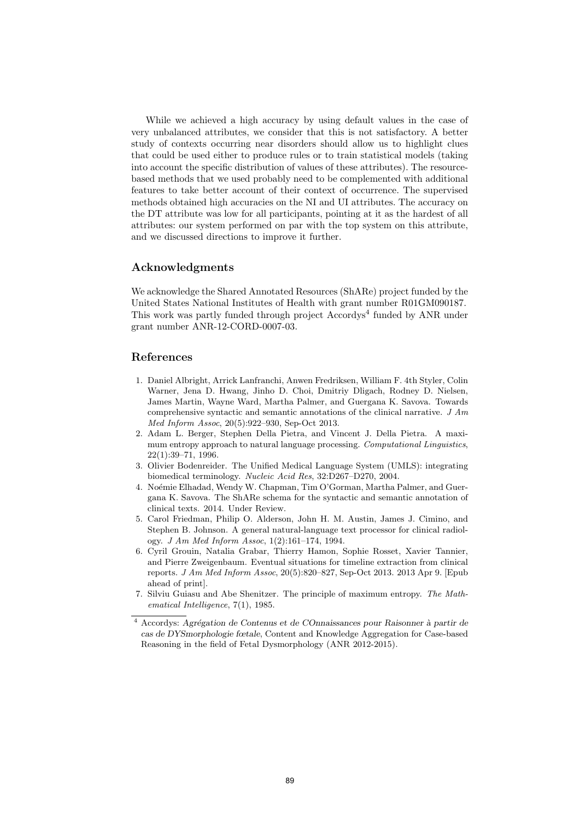While we achieved a high accuracy by using default values in the case of very unbalanced attributes, we consider that this is not satisfactory. A better study of contexts occurring near disorders should allow us to highlight clues that could be used either to produce rules or to train statistical models (taking into account the specific distribution of values of these attributes). The resourcebased methods that we used probably need to be complemented with additional features to take better account of their context of occurrence. The supervised methods obtained high accuracies on the NI and UI attributes. The accuracy on the DT attribute was low for all participants, pointing at it as the hardest of all attributes: our system performed on par with the top system on this attribute, and we discussed directions to improve it further.

## Acknowledgments

We acknowledge the Shared Annotated Resources (ShARe) project funded by the United States National Institutes of Health with grant number R01GM090187. This work was partly funded through project Accordys<sup>4</sup> funded by ANR under grant number ANR-12-CORD-0007-03.

# References

- 1. Daniel Albright, Arrick Lanfranchi, Anwen Fredriksen, William F. 4th Styler, Colin Warner, Jena D. Hwang, Jinho D. Choi, Dmitriy Dligach, Rodney D. Nielsen, James Martin, Wayne Ward, Martha Palmer, and Guergana K. Savova. Towards comprehensive syntactic and semantic annotations of the clinical narrative. J Am Med Inform Assoc, 20(5):922–930, Sep-Oct 2013.
- 2. Adam L. Berger, Stephen Della Pietra, and Vincent J. Della Pietra. A maximum entropy approach to natural language processing. Computational Linguistics, 22(1):39–71, 1996.
- 3. Olivier Bodenreider. The Unified Medical Language System (UMLS): integrating biomedical terminology. Nucleic Acid Res, 32:D267–D270, 2004.
- 4. Noémie Elhadad, Wendy W. Chapman, Tim O'Gorman, Martha Palmer, and Guergana K. Savova. The ShARe schema for the syntactic and semantic annotation of clinical texts. 2014. Under Review.
- 5. Carol Friedman, Philip O. Alderson, John H. M. Austin, James J. Cimino, and Stephen B. Johnson. A general natural-language text processor for clinical radiology. J Am Med Inform Assoc, 1(2):161–174, 1994.
- 6. Cyril Grouin, Natalia Grabar, Thierry Hamon, Sophie Rosset, Xavier Tannier, and Pierre Zweigenbaum. Eventual situations for timeline extraction from clinical reports. J Am Med Inform Assoc, 20(5):820–827, Sep-Oct 2013. 2013 Apr 9. [Epub ahead of print].
- 7. Silviu Guiasu and Abe Shenitzer. The principle of maximum entropy. The Mathematical Intelligence, 7(1), 1985.

 $\overline{4}$  Accordys: Agrégation de Contenus et de COnnaissances pour Raisonner à partir de cas de DYSmorphologie fœtale, Content and Knowledge Aggregation for Case-based Reasoning in the field of Fetal Dysmorphology (ANR 2012-2015).